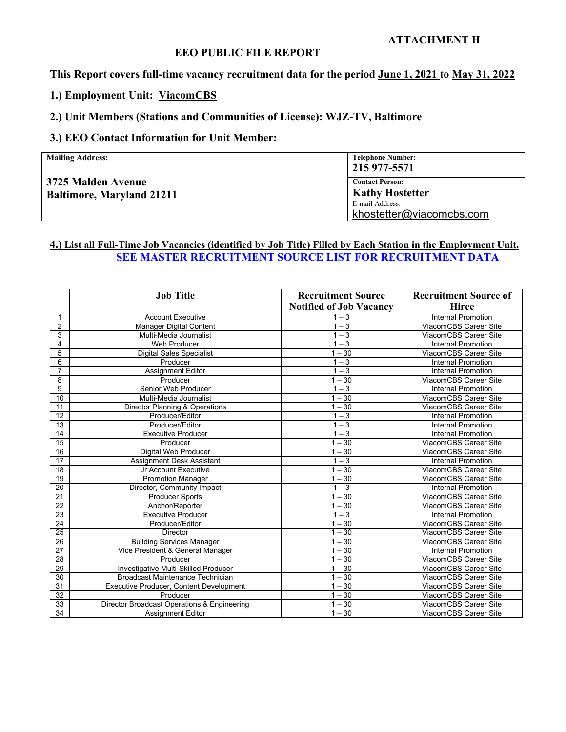#### **ATTACHMENT H**

## **EEO PUBLIC FILE REPORT**

**This Report covers full-time vacancy recruitment data for the period June 1, 2021 to May 31, 2022**

**1.) Employment Unit: ViacomCBS**

#### **2.) Unit Members (Stations and Communities of License): WJZ-TV, Baltimore**

## **3.) EEO Contact Information for Unit Member:**

| <b>Mailing Address:</b>                                | <b>Telephone Number:</b><br>215 977-5571         |
|--------------------------------------------------------|--------------------------------------------------|
| 3725 Malden Avenue<br><b>Baltimore, Maryland 21211</b> | <b>Contact Person:</b><br><b>Kathy Hostetter</b> |
|                                                        | E-mail Address:<br>khostetter@viacomcbs.com      |

#### **4.) List all Full-Time Job Vacancies (identified by Job Title) Filled by Each Station in the Employment Unit. SEE MASTER RECRUITMENT SOURCE LIST FOR RECRUITMENT DATA**

|                 | <b>Job Title</b>                            | <b>Recruitment Source</b>      | <b>Recruitment Source of</b> |
|-----------------|---------------------------------------------|--------------------------------|------------------------------|
|                 |                                             | <b>Notified of Job Vacancy</b> | <b>Hiree</b>                 |
| 1               | <b>Account Executive</b>                    | $1 - 3$                        | <b>Internal Promotion</b>    |
| $\overline{2}$  | <b>Manager Digital Content</b>              | $1 - 3$                        | ViacomCBS Career Site        |
| 3               | Multi-Media Journalist                      | $1 - 3$                        | ViacomCBS Career Site        |
| 4               | <b>Web Producer</b>                         | $1 - 3$                        | <b>Internal Promotion</b>    |
| 5               | <b>Digital Sales Specialist</b>             | $1 - 30$                       | ViacomCBS Career Site        |
| 6               | Producer                                    | $1 - 3$                        | <b>Internal Promotion</b>    |
| $\overline{7}$  | <b>Assignment Editor</b>                    | $1 - 3$                        | <b>Internal Promotion</b>    |
| 8               | Producer                                    | $1 - 30$                       | ViacomCBS Career Site        |
| 9               | Senior Web Producer                         | $1 - 3$                        | <b>Internal Promotion</b>    |
| 10              | Multi-Media Journalist                      | $1 - 30$                       | ViacomCBS Career Site        |
| 11              | Director Planning & Operations              | $1 - 30$                       | ViacomCBS Career Site        |
| 12              | Producer/Editor                             | $1 - 3$                        | <b>Internal Promotion</b>    |
| 13              | Producer/Editor                             | $1 - 3$                        | <b>Internal Promotion</b>    |
| 14              | <b>Executive Producer</b>                   | $1-\overline{3}$               | <b>Internal Promotion</b>    |
| 15              | Producer                                    | $1 - 30$                       | ViacomCBS Career Site        |
| 16              | Digital Web Producer                        | $1 - 30$                       | ViacomCBS Career Site        |
| 17              | Assignment Desk Assistant                   | $1 - 3$                        | <b>Internal Promotion</b>    |
| 18              | Jr Account Executive                        | $1 - 30$                       | ViacomCBS Career Site        |
| 19              | <b>Promotion Manager</b>                    | $1 - 30$                       | ViacomCBS Career Site        |
| 20              | Director, Community Impact                  | $1 - \overline{3}$             | <b>Internal Promotion</b>    |
| 21              | <b>Producer Sports</b>                      | $1 - 30$                       | ViacomCBS Career Site        |
| 22              | Anchor/Reporter                             | $1 - 30$                       | ViacomCBS Career Site        |
| 23              | <b>Executive Producer</b>                   | $1 - 3$                        | <b>Internal Promotion</b>    |
| $\overline{24}$ | Producer/Editor                             | $1 - 30$                       | ViacomCBS Career Site        |
| 25              | <b>Director</b>                             | $1 - 30$                       | ViacomCBS Career Site        |
| 26              | <b>Building Services Manager</b>            | $1 - 30$                       | ViacomCBS Career Site        |
| 27              | Vice President & General Manager            | $1 - 30$                       | <b>Internal Promotion</b>    |
| 28              | Producer                                    | $1 - 30$                       | ViacomCBS Career Site        |
| 29              | Investigative Multi-Skilled Producer        | $1 - 30$                       | ViacomCBS Career Site        |
| 30              | <b>Broadcast Maintenance Technician</b>     | $1 - 30$                       | ViacomCBS Career Site        |
| 31              | Executive Producer, Content Development     | $1 - 30$                       | ViacomCBS Career Site        |
| 32              | Producer                                    | $1 - 30$                       | ViacomCBS Career Site        |
| 33              | Director Broadcast Operations & Engineering | $1 - 30$                       | ViacomCBS Career Site        |
| 34              | <b>Assignment Editor</b>                    | $1 - 30$                       | ViacomCBS Career Site        |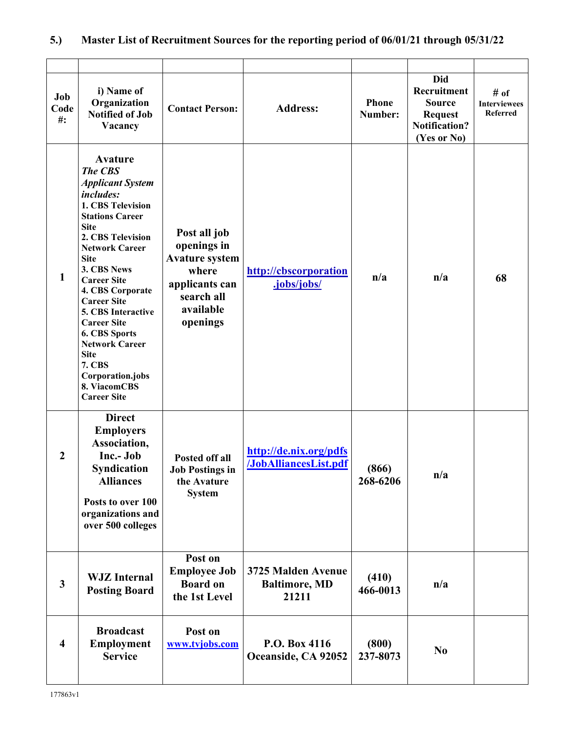# **5.) Master List of Recruitment Sources for the reporting period of 06/01/21 through 05/31/22**

| Job<br>Code<br>$\#$ :   | i) Name of<br>Organization<br><b>Notified of Job</b><br>Vacancy                                                                                                                                                                                                                                                                                                                                                                                                           | <b>Contact Person:</b>                                                                                                 | <b>Address:</b>                                     | Phone<br>Number:  | <b>Did</b><br>Recruitment<br><b>Source</b><br><b>Request</b><br><b>Notification?</b><br>(Yes or No) | # of<br><b>Interviewees</b><br><b>Referred</b> |
|-------------------------|---------------------------------------------------------------------------------------------------------------------------------------------------------------------------------------------------------------------------------------------------------------------------------------------------------------------------------------------------------------------------------------------------------------------------------------------------------------------------|------------------------------------------------------------------------------------------------------------------------|-----------------------------------------------------|-------------------|-----------------------------------------------------------------------------------------------------|------------------------------------------------|
| $\mathbf{1}$            | <b>Avature</b><br><b>The CBS</b><br><b>Applicant System</b><br><i>includes:</i><br>1. CBS Television<br><b>Stations Career</b><br><b>Site</b><br>2. CBS Television<br><b>Network Career</b><br><b>Site</b><br>3. CBS News<br><b>Career Site</b><br>4. CBS Corporate<br><b>Career Site</b><br>5. CBS Interactive<br><b>Career Site</b><br>6. CBS Sports<br><b>Network Career</b><br><b>Site</b><br><b>7. CBS</b><br>Corporation.jobs<br>8. ViacomCBS<br><b>Career Site</b> | Post all job<br>openings in<br><b>Avature system</b><br>where<br>applicants can<br>search all<br>available<br>openings | http://cbscorporation<br>.jobs/jobs/                | n/a               | n/a                                                                                                 | 68                                             |
| $\boldsymbol{2}$        | <b>Direct</b><br><b>Employers</b><br>Association,<br>Inc.- Job<br><b>Syndication</b><br><b>Alliances</b><br>Posts to over 100<br>organizations and<br>over 500 colleges                                                                                                                                                                                                                                                                                                   | Posted off all<br><b>Job Postings in</b><br>the Avature<br><b>System</b>                                               | http://de.nix.org/pdfs<br>/JobAlliancesList.pdf     | (866)<br>268-6206 | n/a                                                                                                 |                                                |
| $\mathbf{3}$            | <b>WJZ</b> Internal<br><b>Posting Board</b>                                                                                                                                                                                                                                                                                                                                                                                                                               | Post on<br><b>Employee Job</b><br><b>Board on</b><br>the 1st Level                                                     | 3725 Malden Avenue<br><b>Baltimore, MD</b><br>21211 | (410)<br>466-0013 | n/a                                                                                                 |                                                |
| $\overline{\mathbf{4}}$ | <b>Broadcast</b><br><b>Employment</b><br><b>Service</b>                                                                                                                                                                                                                                                                                                                                                                                                                   | Post on<br>www.tvjobs.com                                                                                              | P.O. Box 4116<br>Oceanside, CA 92052                | (800)<br>237-8073 | N <sub>0</sub>                                                                                      |                                                |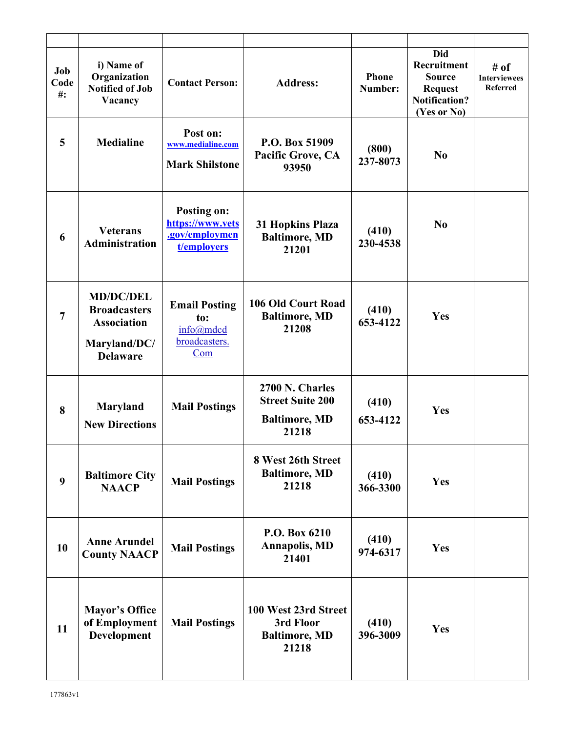| Job<br>Code<br>$#$ : | i) Name of<br>Organization<br><b>Notified of Job</b><br>Vacancy                                  | <b>Contact Person:</b>                                                  | <b>Address:</b>                                                             | <b>Phone</b><br>Number: | <b>Did</b><br>Recruitment<br><b>Source</b><br><b>Request</b><br><b>Notification?</b><br>(Yes or No) | # of<br><b>Interviewees</b><br><b>Referred</b> |
|----------------------|--------------------------------------------------------------------------------------------------|-------------------------------------------------------------------------|-----------------------------------------------------------------------------|-------------------------|-----------------------------------------------------------------------------------------------------|------------------------------------------------|
| 5                    | <b>Medialine</b>                                                                                 | Post on:<br>www.medialine.com<br><b>Mark Shilstone</b>                  | P.O. Box 51909<br>Pacific Grove, CA<br>93950                                | (800)<br>237-8073       | N <sub>0</sub>                                                                                      |                                                |
| 6                    | <b>Veterans</b><br><b>Administration</b>                                                         | <b>Posting on:</b><br>https://www.vets<br>.gov/employmen<br>t/employers | 31 Hopkins Plaza<br><b>Baltimore, MD</b><br>21201                           | (410)<br>230-4538       | N <sub>0</sub>                                                                                      |                                                |
| $\overline{7}$       | <b>MD/DC/DEL</b><br><b>Broadcasters</b><br><b>Association</b><br>Maryland/DC/<br><b>Delaware</b> | <b>Email Posting</b><br>to:<br>info@mdcd<br>broadcasters.<br>Com        | 106 Old Court Road<br><b>Baltimore, MD</b><br>21208                         | (410)<br>653-4122       | Yes                                                                                                 |                                                |
| 8                    | Maryland<br><b>New Directions</b>                                                                | <b>Mail Postings</b>                                                    | 2700 N. Charles<br><b>Street Suite 200</b><br><b>Baltimore, MD</b><br>21218 | (410)<br>653-4122       | Yes                                                                                                 |                                                |
| 9                    | <b>Baltimore City</b><br><b>NAACP</b>                                                            | <b>Mail Postings</b>                                                    | 8 West 26th Street<br><b>Baltimore, MD</b><br>21218                         | (410)<br>366-3300       | Yes                                                                                                 |                                                |
| 10                   | <b>Anne Arundel</b><br><b>County NAACP</b>                                                       | <b>Mail Postings</b>                                                    | P.O. Box 6210<br><b>Annapolis, MD</b><br>21401                              | (410)<br>974-6317       | Yes                                                                                                 |                                                |
| 11                   | <b>Mayor's Office</b><br>of Employment<br>Development                                            | <b>Mail Postings</b>                                                    | 100 West 23rd Street<br>3rd Floor<br><b>Baltimore, MD</b><br>21218          | (410)<br>396-3009       | Yes                                                                                                 |                                                |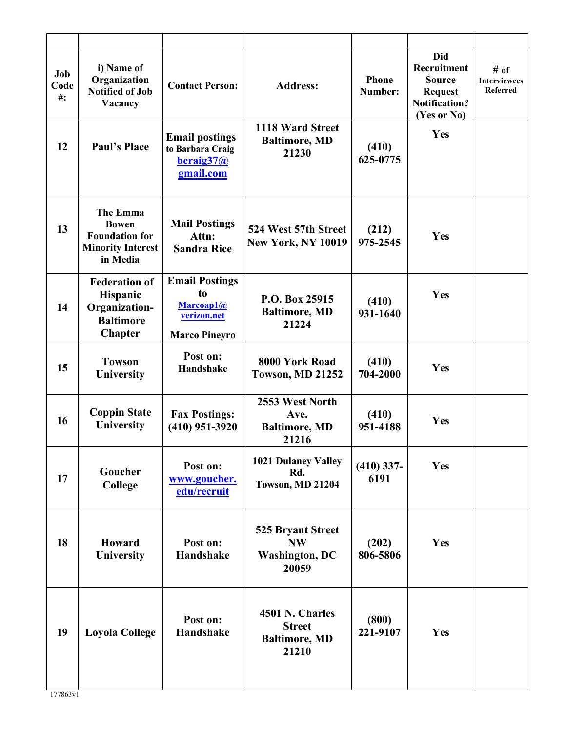| Job<br>Code<br>$\#$ : | i) Name of<br>Organization<br><b>Notified of Job</b><br>Vacancy                           | <b>Contact Person:</b>                                                          | <b>Address:</b>                                                         | <b>Phone</b><br>Number: | Did<br>Recruitment<br><b>Source</b><br><b>Request</b><br><b>Notification?</b><br>(Yes or No) | # of<br><b>Interviewees</b><br>Referred |
|-----------------------|-------------------------------------------------------------------------------------------|---------------------------------------------------------------------------------|-------------------------------------------------------------------------|-------------------------|----------------------------------------------------------------------------------------------|-----------------------------------------|
| 12                    | <b>Paul's Place</b>                                                                       | <b>Email postings</b><br>to Barbara Craig<br>bcraig37@<br>gmail.com             | 1118 Ward Street<br><b>Baltimore, MD</b><br>21230                       | (410)<br>625-0775       | Yes                                                                                          |                                         |
| 13                    | The Emma<br><b>Bowen</b><br><b>Foundation for</b><br><b>Minority Interest</b><br>in Media | <b>Mail Postings</b><br>Attn:<br><b>Sandra Rice</b>                             | 524 West 57th Street<br><b>New York, NY 10019</b>                       | (212)<br>975-2545       | Yes                                                                                          |                                         |
| 14                    | <b>Federation of</b><br>Hispanic<br>Organization-<br><b>Baltimore</b><br><b>Chapter</b>   | <b>Email Postings</b><br>to<br>Marcoap1@<br>verizon.net<br><b>Marco Pineyro</b> | P.O. Box 25915<br><b>Baltimore, MD</b><br>21224                         | (410)<br>931-1640       | Yes                                                                                          |                                         |
| 15                    | <b>Towson</b><br>University                                                               | Post on:<br>Handshake                                                           | 8000 York Road<br>Towson, MD 21252                                      | (410)<br>704-2000       | Yes                                                                                          |                                         |
| 16                    | <b>Coppin State</b><br>University                                                         | <b>Fax Postings:</b><br>$(410)$ 951-3920                                        | 2553 West North<br>Ave.<br><b>Baltimore, MD</b><br>21216                | (410)<br>951-4188       | Yes                                                                                          |                                         |
| 17                    | Goucher<br>College                                                                        | Post on:<br>www.goucher.<br>edu/recruit                                         | <b>1021 Dulaney Valley</b><br>Rd.<br>Towson, MD 21204                   | $(410)$ 337-<br>6191    | Yes                                                                                          |                                         |
| 18                    | Howard<br>University                                                                      | Post on:<br><b>Handshake</b>                                                    | <b>525 Bryant Street</b><br><b>NW</b><br><b>Washington, DC</b><br>20059 | (202)<br>806-5806       | Yes                                                                                          |                                         |
| 19                    | <b>Loyola College</b>                                                                     | Post on:<br>Handshake                                                           | 4501 N. Charles<br><b>Street</b><br><b>Baltimore, MD</b><br>21210       | (800)<br>221-9107       | Yes                                                                                          |                                         |
|                       |                                                                                           |                                                                                 |                                                                         |                         |                                                                                              |                                         |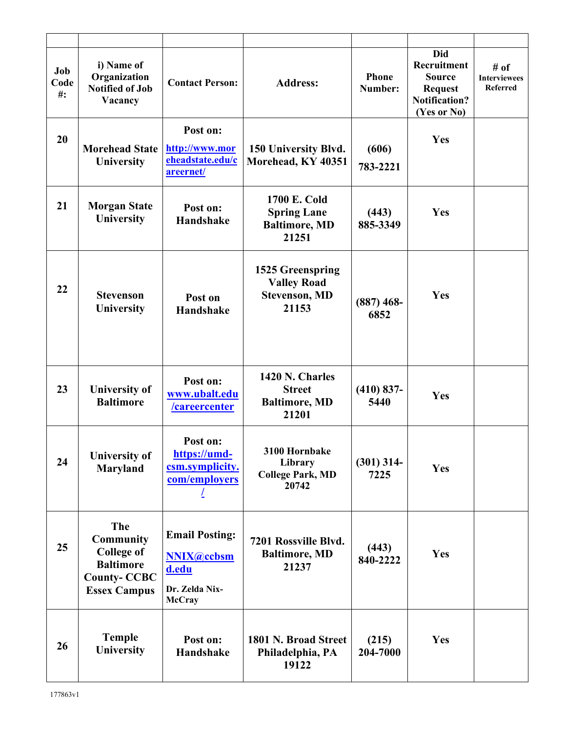| Job<br>Code<br>$\#$ : | i) Name of<br>Organization<br><b>Notified of Job</b><br>Vacancy                                                      | <b>Contact Person:</b>                                                                 | <b>Address:</b>                                                         | <b>Phone</b><br>Number: | <b>Did</b><br>Recruitment<br><b>Source</b><br><b>Request</b><br><b>Notification?</b><br>(Yes or No) | # of<br><b>Interviewees</b><br><b>Referred</b> |
|-----------------------|----------------------------------------------------------------------------------------------------------------------|----------------------------------------------------------------------------------------|-------------------------------------------------------------------------|-------------------------|-----------------------------------------------------------------------------------------------------|------------------------------------------------|
| 20                    | <b>Morehead State</b><br>University                                                                                  | Post on:<br>http://www.mor<br>eheadstate.edu/c<br>areernet/                            | 150 University Blvd.<br>Morehead, KY 40351                              | (606)<br>783-2221       | Yes                                                                                                 |                                                |
| 21                    | <b>Morgan State</b><br>University                                                                                    | Post on:<br>Handshake                                                                  | 1700 E. Cold<br><b>Spring Lane</b><br><b>Baltimore, MD</b><br>21251     | (443)<br>885-3349       | Yes                                                                                                 |                                                |
| 22                    | <b>Stevenson</b><br>University                                                                                       | Post on<br><b>Handshake</b>                                                            | 1525 Greenspring<br><b>Valley Road</b><br><b>Stevenson, MD</b><br>21153 | $(887)$ 468-<br>6852    | Yes                                                                                                 |                                                |
| 23                    | <b>University of</b><br><b>Baltimore</b>                                                                             | Post on:<br>www.ubalt.edu<br><u>/careercenter</u>                                      | 1420 N. Charles<br><b>Street</b><br><b>Baltimore, MD</b><br>21201       | $(410) 837 -$<br>5440   | Yes                                                                                                 |                                                |
| 24                    | <b>University of</b><br>Maryland                                                                                     | Post on:<br>https://umd-<br>csm.symplicity.<br>com/employers                           | 3100 Hornbake<br>Library<br><b>College Park, MD</b><br>20742            | $(301)$ 314-<br>7225    | Yes                                                                                                 |                                                |
| 25                    | <b>The</b><br><b>Community</b><br><b>College of</b><br><b>Baltimore</b><br><b>County-CCBC</b><br><b>Essex Campus</b> | <b>Email Posting:</b><br><b>NNIX@ccbsm</b><br>d.edu<br>Dr. Zelda Nix-<br><b>McCray</b> | 7201 Rossville Blvd.<br><b>Baltimore, MD</b><br>21237                   | (443)<br>840-2222       | Yes                                                                                                 |                                                |
| 26                    | <b>Temple</b><br>University                                                                                          | Post on:<br>Handshake                                                                  | 1801 N. Broad Street<br>Philadelphia, PA<br>19122                       | (215)<br>204-7000       | Yes                                                                                                 |                                                |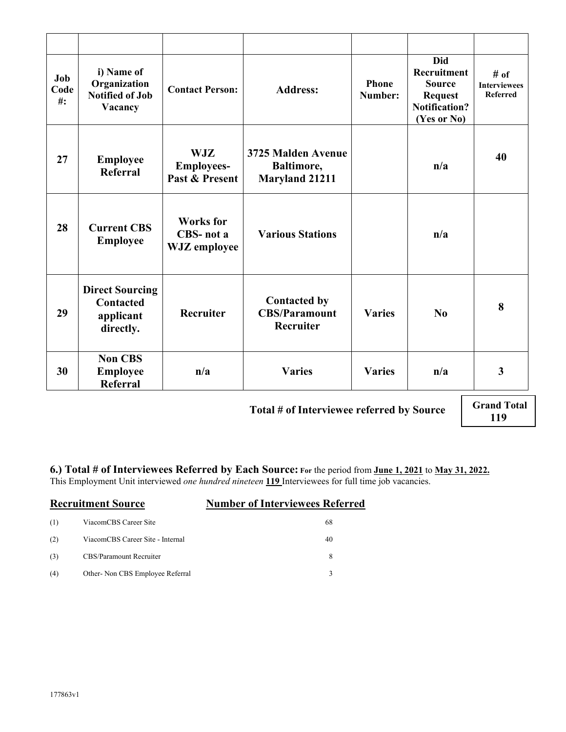| i) Name of<br>Organization<br><b>Notified of Job</b><br>Vacancy      | <b>Contact Person:</b>                                     | <b>Address:</b>                                           | <b>Phone</b><br>Number: | <b>Did</b><br>Recruitment<br><b>Source</b><br><b>Request</b><br><b>Notification?</b><br>(Yes or No) | # of<br><b>Interviewees</b><br><b>Referred</b>                  |
|----------------------------------------------------------------------|------------------------------------------------------------|-----------------------------------------------------------|-------------------------|-----------------------------------------------------------------------------------------------------|-----------------------------------------------------------------|
| <b>Employee</b><br>Referral                                          | <b>WJZ</b><br><b>Employees-</b><br>Past & Present          | 3725 Malden Avenue<br>Baltimore,<br><b>Maryland 21211</b> |                         | n/a                                                                                                 | 40                                                              |
| <b>Current CBS</b><br><b>Employee</b>                                | <b>Works</b> for<br><b>CBS-nota</b><br><b>WJZ</b> employee | <b>Various Stations</b>                                   |                         | n/a                                                                                                 |                                                                 |
| <b>Direct Sourcing</b><br><b>Contacted</b><br>applicant<br>directly. | Recruiter                                                  | <b>Contacted by</b><br><b>CBS/Paramount</b><br>Recruiter  | <b>Varies</b>           | No                                                                                                  | 8                                                               |
| <b>Non CBS</b><br><b>Employee</b><br><b>Referral</b>                 | n/a                                                        | <b>Varies</b>                                             | <b>Varies</b>           | n/a                                                                                                 | $\mathbf{3}$                                                    |
|                                                                      |                                                            |                                                           |                         |                                                                                                     | <b>Grand Total</b><br>Total # of Interviewee referred by Source |

 **Total # of Interviewee referred by Source**

**119**

**6.) Total # of Interviewees Referred by Each Source: For** the period from **June 1, 2021** to **May 31, 2022.** This Employment Unit interviewed *one hundred nineteen* **119** Interviewees for full time job vacancies.

|     | <b>Recruitment Source</b>        | <b>Number of Interviewees Referred</b> |
|-----|----------------------------------|----------------------------------------|
| (1) | ViacomCBS Career Site            | 68                                     |
| (2) | ViacomCBS Career Site - Internal | 40                                     |
| (3) | CBS/Paramount Recruiter          | 8                                      |
| (4) | Other-Non CBS Employee Referral  | ٩                                      |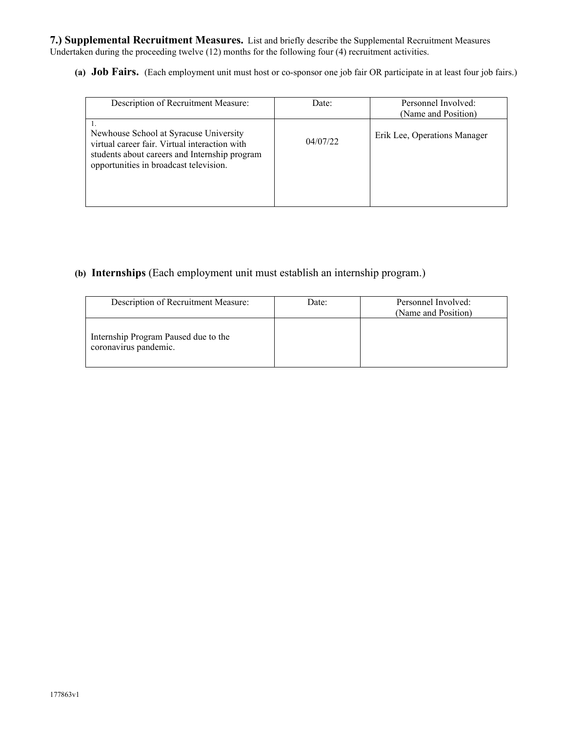**7.) Supplemental Recruitment Measures.** List and briefly describe the Supplemental Recruitment Measures Undertaken during the proceeding twelve (12) months for the following four (4) recruitment activities.

**(a) Job Fairs.** (Each employment unit must host or co-sponsor one job fair OR participate in at least four job fairs.)

| Description of Recruitment Measure:                                                                                                                                                | Date:    | Personnel Involved:<br>(Name and Position) |
|------------------------------------------------------------------------------------------------------------------------------------------------------------------------------------|----------|--------------------------------------------|
| Newhouse School at Syracuse University<br>virtual career fair. Virtual interaction with<br>students about careers and Internship program<br>opportunities in broadcast television. | 04/07/22 | Erik Lee, Operations Manager               |

## **(b) Internships** (Each employment unit must establish an internship program.)

| Description of Recruitment Measure:                           | Date: | Personnel Involved:<br>(Name and Position) |
|---------------------------------------------------------------|-------|--------------------------------------------|
| Internship Program Paused due to the<br>coronavirus pandemic. |       |                                            |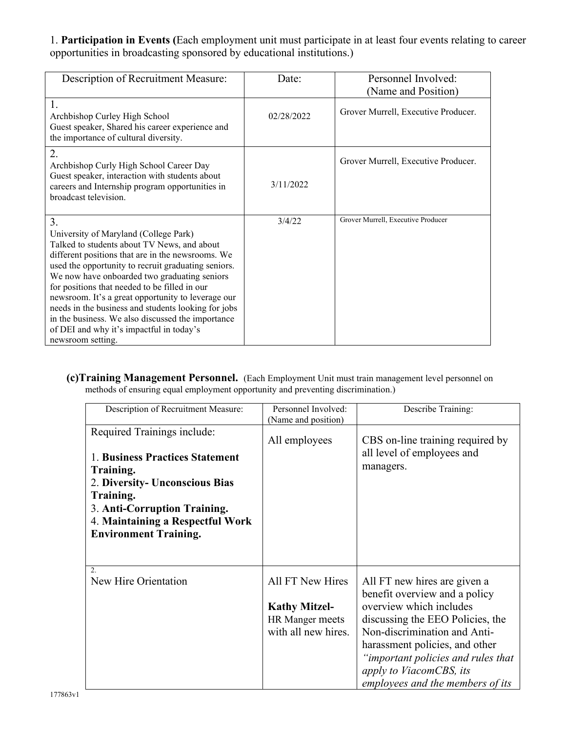1. **Participation in Events (**Each employment unit must participate in at least four events relating to career opportunities in broadcasting sponsored by educational institutions.)

| Description of Recruitment Measure:                                                                                                                                                                                                                                                                                                                                                                                                                                                                                                        | Date:      | Personnel Involved:<br>(Name and Position) |
|--------------------------------------------------------------------------------------------------------------------------------------------------------------------------------------------------------------------------------------------------------------------------------------------------------------------------------------------------------------------------------------------------------------------------------------------------------------------------------------------------------------------------------------------|------------|--------------------------------------------|
| 1.<br>Archbishop Curley High School<br>Guest speaker, Shared his career experience and<br>the importance of cultural diversity.                                                                                                                                                                                                                                                                                                                                                                                                            | 02/28/2022 | Grover Murrell, Executive Producer.        |
| 2.<br>Archbishop Curly High School Career Day<br>Guest speaker, interaction with students about<br>careers and Internship program opportunities in<br>broadcast television.                                                                                                                                                                                                                                                                                                                                                                | 3/11/2022  | Grover Murrell, Executive Producer.        |
| 3.<br>University of Maryland (College Park)<br>Talked to students about TV News, and about<br>different positions that are in the newsrooms. We<br>used the opportunity to recruit graduating seniors.<br>We now have onboarded two graduating seniors<br>for positions that needed to be filled in our<br>newsroom. It's a great opportunity to leverage our<br>needs in the business and students looking for jobs<br>in the business. We also discussed the importance<br>of DEI and why it's impactful in today's<br>newsroom setting. | 3/4/22     | Grover Murrell, Executive Producer         |

**(c)Training Management Personnel.** (Each Employment Unit must train management level personnel on methods of ensuring equal employment opportunity and preventing discrimination.)

| Description of Recruitment Measure:                                                                                                                                                                                            | Personnel Involved:<br>(Name and position)                                         | Describe Training:                                                                                                                                                                                                                                                                                  |
|--------------------------------------------------------------------------------------------------------------------------------------------------------------------------------------------------------------------------------|------------------------------------------------------------------------------------|-----------------------------------------------------------------------------------------------------------------------------------------------------------------------------------------------------------------------------------------------------------------------------------------------------|
| Required Trainings include:<br>1. Business Practices Statement<br>Training.<br>2. Diversity- Unconscious Bias<br>Training.<br>3. Anti-Corruption Training.<br>4. Maintaining a Respectful Work<br><b>Environment Training.</b> | All employees                                                                      | CBS on-line training required by<br>all level of employees and<br>managers.                                                                                                                                                                                                                         |
| 2.<br>New Hire Orientation                                                                                                                                                                                                     | All FT New Hires<br><b>Kathy Mitzel-</b><br>HR Manger meets<br>with all new hires. | All FT new hires are given a<br>benefit overview and a policy<br>overview which includes<br>discussing the EEO Policies, the<br>Non-discrimination and Anti-<br>harassment policies, and other<br>"important policies and rules that<br>apply to ViacomCBS, its<br>employees and the members of its |